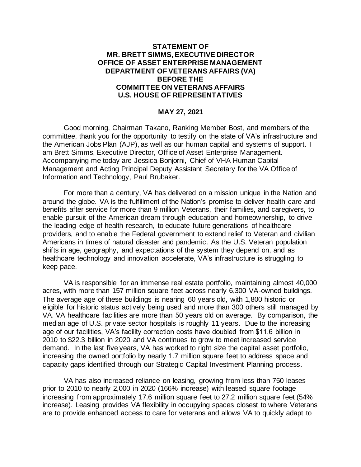# **STATEMENT OF MR. BRETT SIMMS, EXECUTIVE DIRECTOR OFFICE OF ASSET ENTERPRISE MANAGEMENT DEPARTMENT OF VETERANS AFFAIRS (VA) BEFORE THE COMMITTEE ON VETERANS AFFAIRS U.S. HOUSE OF REPRESENTATIVES**

# **MAY 27, 2021**

Good morning, Chairman Takano, Ranking Member Bost, and members of the committee, thank you for the opportunity to testify on the state of VA's infrastructure and the American Jobs Plan (AJP), as well as our human capital and systems of support. I am Brett Simms, Executive Director, Office of Asset Enterprise Management. Accompanying me today are Jessica Bonjorni, Chief of VHA Human Capital Management and Acting Principal Deputy Assistant Secretary for the VA Office of Information and Technology, Paul Brubaker.

For more than a century, VA has delivered on a mission unique in the Nation and around the globe. VA is the fulfillment of the Nation's promise to deliver health care and benefits after service for more than 9 million Veterans, their families, and caregivers, to enable pursuit of the American dream through education and homeownership, to drive the leading edge of health research, to educate future generations of healthcare providers, and to enable the Federal government to extend relief to Veteran and civilian Americans in times of natural disaster and pandemic. As the U.S. Veteran population shifts in age, geography, and expectations of the system they depend on, and as healthcare technology and innovation accelerate, VA's infrastructure is struggling to keep pace.

VA is responsible for an immense real estate portfolio, maintaining almost 40,000 acres, with more than 157 million square feet across nearly 6,300 VA-owned buildings. The average age of these buildings is nearing 60 years old, with 1,800 historic or eligible for historic status actively being used and more than 300 others still managed by VA. VA healthcare facilities are more than 50 years old on average. By comparison, the median age of U.S. private sector hospitals is roughly 11 years. Due to the increasing age of our facilities, VA's facility correction costs have doubled from \$11.6 billion in 2010 to \$22.3 billion in 2020 and VA continues to grow to meet increased service demand. In the last five years, VA has worked to right size the capital asset portfolio, increasing the owned portfolio by nearly 1.7 million square feet to address space and capacity gaps identified through our Strategic Capital Investment Planning process.

VA has also increased reliance on leasing, growing from less than 750 leases prior to 2010 to nearly 2,000 in 2020 (166% increase) with leased square footage increasing from approximately 17.6 million square feet to 27.2 million square feet (54% increase). Leasing provides VA flexibility in occupying spaces closest to where Veterans are to provide enhanced access to care for veterans and allows VA to quickly adapt to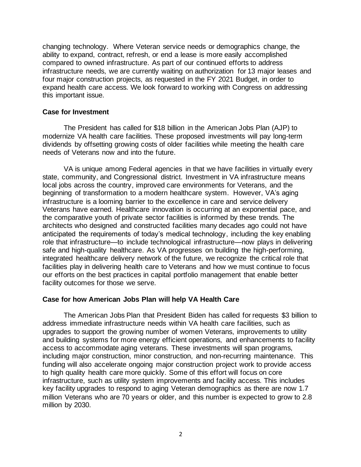changing technology. Where Veteran service needs or demographics change, the ability to expand, contract, refresh, or end a lease is more easily accomplished compared to owned infrastructure. As part of our continued efforts to address infrastructure needs, we are currently waiting on authorization for 13 major leases and four major construction projects, as requested in the FY 2021 Budget, in order to expand health care access. We look forward to working with Congress on addressing this important issue.

### **Case for Investment**

The President has called for \$18 billion in the American Jobs Plan (AJP) to modernize VA health care facilities. These proposed investments will pay long-term dividends by offsetting growing costs of older facilities while meeting the health care needs of Veterans now and into the future.

VA is unique among Federal agencies in that we have facilities in virtually every state, community, and Congressional district. Investment in VA infrastructure means local jobs across the country, improved care environments for Veterans, and the beginning of transformation to a modern healthcare system. However, VA's aging infrastructure is a looming barrier to the excellence in care and service delivery Veterans have earned. Healthcare innovation is occurring at an exponential pace, and the comparative youth of private sector facilities is informed by these trends. The architects who designed and constructed facilities many decades ago could not have anticipated the requirements of today's medical technology, including the key enabling role that infrastructure—to include technological infrastructure—now plays in delivering safe and high-quality healthcare. As VA progresses on building the high-performing, integrated healthcare delivery network of the future, we recognize the critical role that facilities play in delivering health care to Veterans and how we must continue to focus our efforts on the best practices in capital portfolio management that enable better facility outcomes for those we serve.

#### **Case for how American Jobs Plan will help VA Health Care**

The American Jobs Plan that President Biden has called for requests \$3 billion to address immediate infrastructure needs within VA health care facilities, such as upgrades to support the growing number of women Veterans, improvements to utility and building systems for more energy efficient operations, and enhancements to facility access to accommodate aging veterans. These investments will span programs, including major construction, minor construction, and non-recurring maintenance. This funding will also accelerate ongoing major construction project work to provide access to high quality health care more quickly. Some of this effort will focus on core infrastructure, such as utility system improvements and facility access. This includes key facility upgrades to respond to aging Veteran demographics as there are now 1.7 million Veterans who are 70 years or older, and this number is expected to grow to 2.8 million by 2030.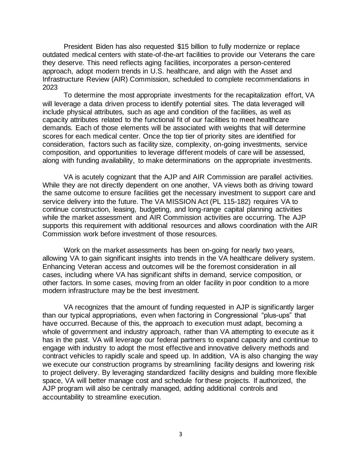President Biden has also requested \$15 billion to fully modernize or replace outdated medical centers with state-of-the-art facilities to provide our Veterans the care they deserve. This need reflects aging facilities, incorporates a person-centered approach, adopt modern trends in U.S. healthcare, and align with the Asset and Infrastructure Review (AIR) Commission, scheduled to complete recommendations in 2023

To determine the most appropriate investments for the recapitalization effort, VA will leverage a data driven process to identify potential sites. The data leveraged will include physical attributes, such as age and condition of the facilities, as well as capacity attributes related to the functional fit of our facilities to meet healthcare demands. Each of those elements will be associated with weights that will determine scores for each medical center. Once the top tier of priority sites are identified for consideration, factors such as facility size, complexity, on-going investments, service composition, and opportunities to leverage different models of care will be assessed, along with funding availability, to make determinations on the appropriate investments.

VA is acutely cognizant that the AJP and AIR Commission are parallel activities. While they are not directly dependent on one another, VA views both as driving toward the same outcome to ensure facilities get the necessary investment to support care and service delivery into the future. The VA MISSION Act (PL 115-182) requires VA to continue construction, leasing, budgeting, and long-range capital planning activities while the market assessment and AIR Commission activities are occurring. The AJP supports this requirement with additional resources and allows coordination with the AIR Commission work before investment of those resources.

Work on the market assessments has been on-going for nearly two years, allowing VA to gain significant insights into trends in the VA healthcare delivery system. Enhancing Veteran access and outcomes will be the foremost consideration in all cases, including where VA has significant shifts in demand, service composition, or other factors. In some cases, moving from an older facility in poor condition to a more modern infrastructure may be the best investment.

VA recognizes that the amount of funding requested in AJP is significantly larger than our typical appropriations, even when factoring in Congressional "plus-ups" that have occurred. Because of this, the approach to execution must adapt, becoming a whole of government and industry approach, rather than VA attempting to execute as it has in the past. VA will leverage our federal partners to expand capacity and continue to engage with industry to adopt the most effective and innovative delivery methods and contract vehicles to rapidly scale and speed up. In addition, VA is also changing the way we execute our construction programs by streamlining facility designs and lowering risk to project delivery. By leveraging standardized facility designs and building more flexible space, VA will better manage cost and schedule for these projects. If authorized, the AJP program will also be centrally managed, adding additional controls and accountability to streamline execution.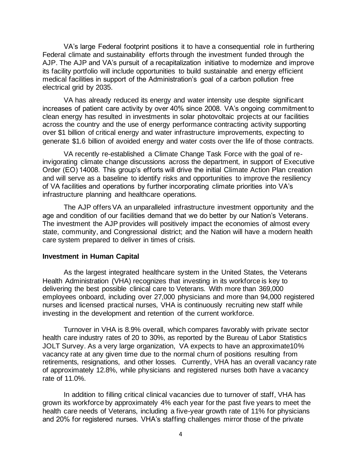VA's large Federal footprint positions it to have a consequential role in furthering Federal climate and sustainability efforts through the investment funded through the AJP. The AJP and VA's pursuit of a recapitalization initiative to modernize and improve its facility portfolio will include opportunities to build sustainable and energy efficient medical facilities in support of the Administration's goal of a carbon pollution free electrical grid by 2035.

VA has already reduced its energy and water intensity use despite significant increases of patient care activity by over 40% since 2008. VA's ongoing commitment to clean energy has resulted in investments in solar photovoltaic projects at our facilities across the country and the use of energy performance contracting activity supporting over \$1 billion of critical energy and water infrastructure improvements, expecting to generate \$1.6 billion of avoided energy and water costs over the life of those contracts.

VA recently re-established a Climate Change Task Force with the goal of reinvigorating climate change discussions across the department, in support of Executive Order (EO) 14008. This group's efforts will drive the initial Climate Action Plan creation and will serve as a baseline to identify risks and opportunities to improve the resiliency of VA facilities and operations by further incorporating climate priorities into VA's infrastructure planning and healthcare operations.

The AJP offers VA an unparalleled infrastructure investment opportunity and the age and condition of our facilities demand that we do better by our Nation's Veterans. The investment the AJP provides will positively impact the economies of almost every state, community, and Congressional district; and the Nation will have a modern health care system prepared to deliver in times of crisis.

### **Investment in Human Capital**

As the largest integrated healthcare system in the United States, the Veterans Health Administration (VHA) recognizes that investing in its workforce is key to delivering the best possible clinical care to Veterans. With more than 369,000 employees onboard, including over 27,000 physicians and more than 94,000 registered nurses and licensed practical nurses, VHA is continuously recruiting new staff while investing in the development and retention of the current workforce.

Turnover in VHA is 8.9% overall, which compares favorably with private sector health care industry rates of 20 to 30%, as reported by the Bureau of Labor Statistics JOLT Survey. As a very large organization, VA expects to have an approximate10% vacancy rate at any given time due to the normal churn of positions resulting from retirements, resignations, and other losses. Currently, VHA has an overall vacancy rate of approximately 12.8%, while physicians and registered nurses both have a vacancy rate of 11.0%.

In addition to filling critical clinical vacancies due to turnover of staff, VHA has grown its workforce by approximately 4% each year for the past five years to meet the health care needs of Veterans, including a five-year growth rate of 11% for physicians and 20% for registered nurses. VHA's staffing challenges mirror those of the private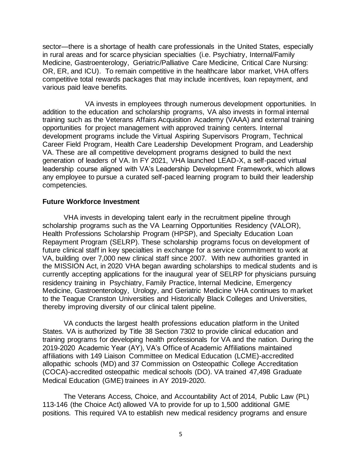sector—there is a shortage of health care professionals in the United States, especially in rural areas and for scarce physician specialties (i.e. Psychiatry, Internal/Family Medicine, Gastroenterology, Geriatric/Palliative Care Medicine, Critical Care Nursing: OR, ER, and ICU). To remain competitive in the healthcare labor market, VHA offers competitive total rewards packages that may include incentives, loan repayment, and various paid leave benefits.

VA invests in employees through numerous development opportunities. In addition to the education and scholarship programs, VA also invests in formal internal training such as the Veterans Affairs Acquisition Academy (VAAA) and external training opportunities for project management with approved training centers. Internal development programs include the Virtual Aspiring Supervisors Program, Technical Career Field Program, Health Care Leadership Development Program, and Leadership VA. These are all competitive development programs designed to build the next generation of leaders of VA. In FY 2021, VHA launched LEAD-X, a self-paced virtual leadership course aligned with VA's Leadership Development Framework, which allows any employee to pursue a curated self-paced learning program to build their leadership competencies.

#### **Future Workforce Investment**

VHA invests in developing talent early in the recruitment pipeline through scholarship programs such as the VA Learning Opportunities Residency (VALOR), Health Professions Scholarship Program (HPSP), and Specialty Education Loan Repayment Program (SELRP). These scholarship programs focus on development of future clinical staff in key specialties in exchange for a service commitment to work at VA, building over 7,000 new clinical staff since 2007. With new authorities granted in the MISSION Act, in 2020 VHA began awarding scholarships to medical students and is currently accepting applications for the inaugural year of SELRP for physicians pursuing residency training in Psychiatry, Family Practice, Internal Medicine, Emergency Medicine, Gastroenterology, Urology, and Geriatric Medicine VHA continues to market to the Teague Cranston Universities and Historically Black Colleges and Universities, thereby improving diversity of our clinical talent pipeline.

VA conducts the largest health professions education platform in the United States. VA is authorized by Title 38 Section 7302 to provide clinical education and training programs for developing health professionals for VA and the nation. During the 2019-2020 Academic Year (AY), VA's Office of Academic Affiliations maintained affiliations with 149 Liaison Committee on Medical Education (LCME)-accredited allopathic schools (MD) and 37 Commission on Osteopathic College Accreditation (COCA)-accredited osteopathic medical schools (DO). VA trained 47,498 Graduate Medical Education (GME) trainees in AY 2019-2020.

The Veterans Access, Choice, and Accountability Act of 2014, Public Law (PL) 113-146 (the Choice Act) allowed VA to provide for up to 1,500 additional GME positions. This required VA to establish new medical residency programs and ensure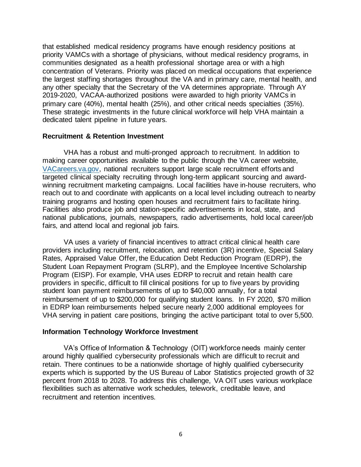that established medical residency programs have enough residency positions at priority VAMCs with a shortage of physicians, without medical residency programs, in communities designated as a health professional shortage area or with a high concentration of Veterans. Priority was placed on medical occupations that experience the largest staffing shortages throughout the VA and in primary care, mental health, and any other specialty that the Secretary of the VA determines appropriate. Through AY 2019-2020, VACAA-authorized positions were awarded to high priority VAMCs in primary care (40%), mental health (25%), and other critical needs specialties (35%). These strategic investments in the future clinical workforce will help VHA maintain a dedicated talent pipeline in future years.

### **Recruitment & Retention Investment**

VHA has a robust and multi-pronged approach to recruitment. In addition to making career opportunities available to the public through the VA career website, [VACareers.va.gov,](http://www.vacareers.va.gov/) national recruiters support large scale recruitment efforts and targeted clinical specialty recruiting through long-term applicant sourcing and awardwinning recruitment marketing campaigns. Local facilities have in-house recruiters, who reach out to and coordinate with applicants on a local level including outreach to nearby training programs and hosting open houses and recruitment fairs to facilitate hiring. Facilities also produce job and station-specific advertisements in local, state, and national publications, journals, newspapers, radio advertisements, hold local career/job fairs, and attend local and regional job fairs.

VA uses a variety of financial incentives to attract critical clinical health care providers including recruitment, relocation, and retention (3R) incentive, Special Salary Rates, Appraised Value Offer, the Education Debt Reduction Program (EDRP), the Student Loan Repayment Program (SLRP), and the Employee Incentive Scholarship Program (EISP). For example, VHA uses EDRP to recruit and retain health care providers in specific, difficult to fill clinical positions for up to five years by providing student loan payment reimbursements of up to \$40,000 annually, for a total reimbursement of up to \$200,000 for qualifying student loans. In FY 2020, \$70 million in EDRP loan reimbursements helped secure nearly 2,000 additional employees for VHA serving in patient care positions, bringing the active participant total to over 5,500.

# **Information Technology Workforce Investment**

VA's Office of Information & Technology (OIT) workforce needs mainly center around highly qualified cybersecurity professionals which are difficult to recruit and retain. There continues to be a nationwide shortage of highly qualified cybersecurity experts which is supported by the US Bureau of Labor Statistics projected growth of 32 percent from 2018 to 2028. To address this challenge, VA OIT uses various workplace flexibilities such as alternative work schedules, telework, creditable leave, and recruitment and retention incentives.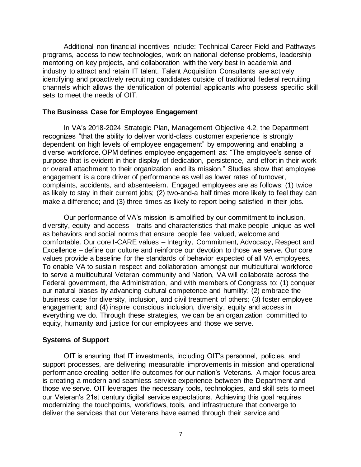Additional non-financial incentives include: Technical Career Field and Pathways programs, access to new technologies, work on national defense problems, leadership mentoring on key projects, and collaboration with the very best in academia and industry to attract and retain IT talent. Talent Acquisition Consultants are actively identifying and proactively recruiting candidates outside of traditional federal recruiting channels which allows the identification of potential applicants who possess specific skill sets to meet the needs of OIT.

### **The Business Case for Employee Engagement**

In VA's 2018-2024 Strategic Plan, Management Objective 4.2, the Department recognizes "that the ability to deliver world-class customer experience is strongly dependent on high levels of employee engagement" by empowering and enabling a diverse workforce. OPM defines employee engagement as: "The employee's sense of purpose that is evident in their display of dedication, persistence, and effort in their work or overall attachment to their organization and its mission." Studies show that employee engagement is a core driver of performance as well as lower rates of turnover, complaints, accidents, and absenteeism. Engaged employees are as follows: (1) twice as likely to stay in their current jobs; (2) two-and-a half times more likely to feel they can make a difference; and (3) three times as likely to report being satisfied in their jobs.

Our performance of VA's mission is amplified by our commitment to inclusion, diversity, equity and access – traits and characteristics that make people unique as well as behaviors and social norms that ensure people feel valued, welcome and comfortable. Our core I-CARE values – Integrity, Commitment, Advocacy, Respect and Excellence – define our culture and reinforce our devotion to those we serve. Our core values provide a baseline for the standards of behavior expected of all VA employees. To enable VA to sustain respect and collaboration amongst our multicultural workforce to serve a multicultural Veteran community and Nation, VA will collaborate across the Federal government, the Administration, and with members of Congress to: (1) conquer our natural biases by advancing cultural competence and humility; (2) embrace the business case for diversity, inclusion, and civil treatment of others; (3) foster employee engagement; and (4) inspire conscious inclusion, diversity, equity and access in everything we do. Through these strategies, we can be an organization committed to equity, humanity and justice for our employees and those we serve.

#### **Systems of Support**

OIT is ensuring that IT investments, including OIT's personnel, policies, and support processes, are delivering measurable improvements in mission and operational performance creating better life outcomes for our nation's Veterans. A major focus area is creating a modern and seamless service experience between the Department and those we serve. OIT leverages the necessary tools, technologies, and skill sets to meet our Veteran's 21st century digital service expectations. Achieving this goal requires modernizing the touchpoints, workflows, tools, and infrastructure that converge to deliver the services that our Veterans have earned through their service and